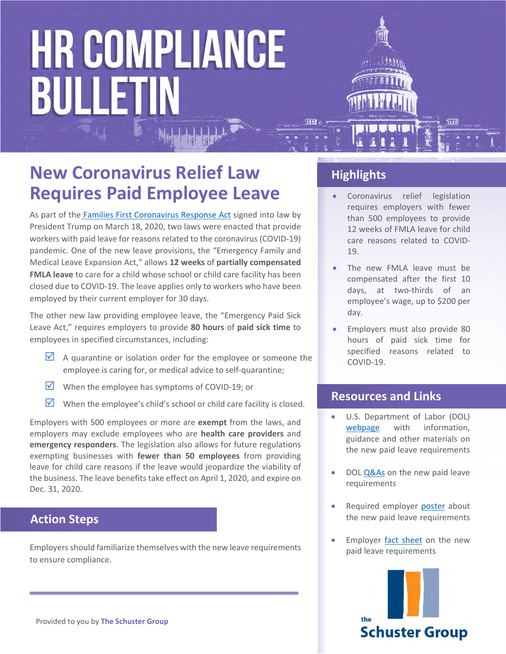### **New Coronavirus Relief Law Requires Paid Employee Leave**

As part of the [Families First Coronavirus Response Act](https://www.congress.gov/116/bills/hr6201/BILLS-116hr6201enr.pdf) signed into law by President Trump on March 18, 2020, two laws were enacted that provide workers with paid leave for reasons related to the coronavirus (COVID-19) pandemic. One of the new leave provisions, the "Emergency Family and Medical Leave Expansion Act," allows **12 weeks** of **partially compensated FMLA leave** to care for a child whose school or child care facility has been closed due to COVID-19. The leave applies only to workers who have been employed by their current employer for 30 days.

The other new law providing employee leave, the "Emergency Paid Sick Leave Act," requires employers to provide **80 hours** of **paid sick time** to employees in specified circumstances, including:

- $\blacksquare$  A quarantine or isolation order for the employee or someone the employee is caring for, or medical advice to self-quarantine;
- $\triangledown$  When the employee has symptoms of COVID-19; or
- $\blacksquare$  When the employee's child's school or child care facility is closed.

Employers with 500 employees or more are **exempt** from the laws, and employers may exclude employees who are **health care providers** and **emergency responders**. The legislation also allows for future regulations exempting businesses with **fewer than 50 employees** from providing leave for child care reasons if the leave would jeopardize the viability of the business. The leave benefits take effect on April 1, 2020, and expire on Dec. 31, 2020.

### **Action Steps**

Employers should familiarize themselves with the new leave requirements to ensure compliance.

### **Highlights**

- Coronavirus relief legislation requires employers with fewer than 500 employees to provide 12 weeks of FMLA leave for child care reasons related to COVID-19.
- The new FMLA leave must be compensated after the first 10 days, at two-thirds of an employee's wage, up to \$200 per day.
- Employers must also provide 80 hours of paid sick time for specified reasons related to COVID-19.

#### **Resources and Links**

- U.S. Department of Labor (DOL) [webpage](https://www.dol.gov/agencies/whd/pandemic) with information, guidance and other materials on the new paid leave requirements
- DOL [Q&As](https://www.dol.gov/agencies/whd/pandemic/ffcra-questions) on the new paid leave requirements
- Required employer [poster](https://www.dol.gov/sites/dolgov/files/WHD/posters/FFCRA_Poster_WH1422_Non-Federal.pdf) about the new paid leave requirements
- Employer [fact sheet](https://www.dol.gov/agencies/whd/pandemic/ffcra-employer-paid-leave) on the new paid leave requirements

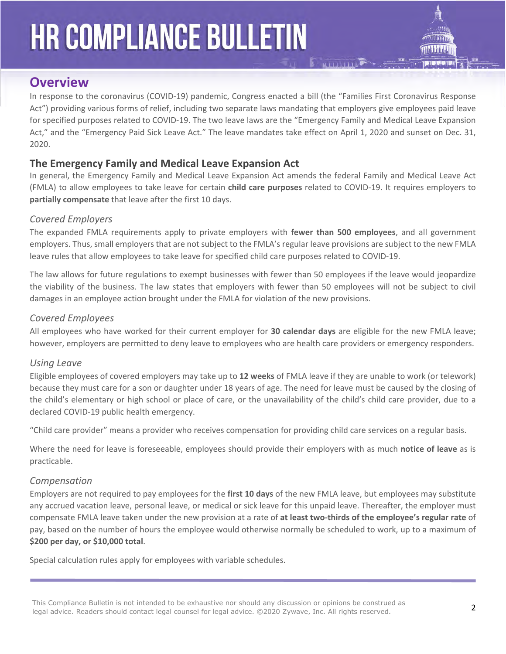### **Overview**

In response to the coronavirus (COVID-19) pandemic, Congress enacted a bill (the "Families First Coronavirus Response Act") providing various forms of relief, including two separate laws mandating that employers give employees paid leave for specified purposes related to COVID-19. The two leave laws are the "Emergency Family and Medical Leave Expansion Act," and the "Emergency Paid Sick Leave Act." The leave mandates take effect on April 1, 2020 and sunset on Dec. 31, 2020.

#### **The Emergency Family and Medical Leave Expansion Act**

In general, the Emergency Family and Medical Leave Expansion Act amends the federal Family and Medical Leave Act (FMLA) to allow employees to take leave for certain **child care purposes** related to COVID-19. It requires employers to **partially compensate** that leave after the first 10 days.

#### *Covered Employers*

The expanded FMLA requirements apply to private employers with **fewer than 500 employees**, and all government employers. Thus, small employers that are not subject to the FMLA's regular leave provisions are subject to the new FMLA leave rules that allow employees to take leave for specified child care purposes related to COVID-19.

The law allows for future regulations to exempt businesses with fewer than 50 employees if the leave would jeopardize the viability of the business. The law states that employers with fewer than 50 employees will not be subject to civil damages in an employee action brought under the FMLA for violation of the new provisions.

#### *Covered Employees*

All employees who have worked for their current employer for **30 calendar days** are eligible for the new FMLA leave; however, employers are permitted to deny leave to employees who are health care providers or emergency responders.

#### *Using Leave*

Eligible employees of covered employers may take up to **12 weeks** of FMLA leave if they are unable to work (or telework) because they must care for a son or daughter under 18 years of age. The need for leave must be caused by the closing of the child's elementary or high school or place of care, or the unavailability of the child's child care provider, due to a declared COVID-19 public health emergency.

"Child care provider" means a provider who receives compensation for providing child care services on a regular basis.

Where the need for leave is foreseeable, employees should provide their employers with as much **notice of leave** as is practicable.

#### *Compensation*

Employers are not required to pay employees for the **first 10 days** of the new FMLA leave, but employees may substitute any accrued vacation leave, personal leave, or medical or sick leave for this unpaid leave. Thereafter, the employer must compensate FMLA leave taken under the new provision at a rate of **at least two-thirds of the employee's regular rate** of pay, based on the number of hours the employee would otherwise normally be scheduled to work, up to a maximum of **\$200 per day, or \$10,000 total**.

Special calculation rules apply for employees with variable schedules.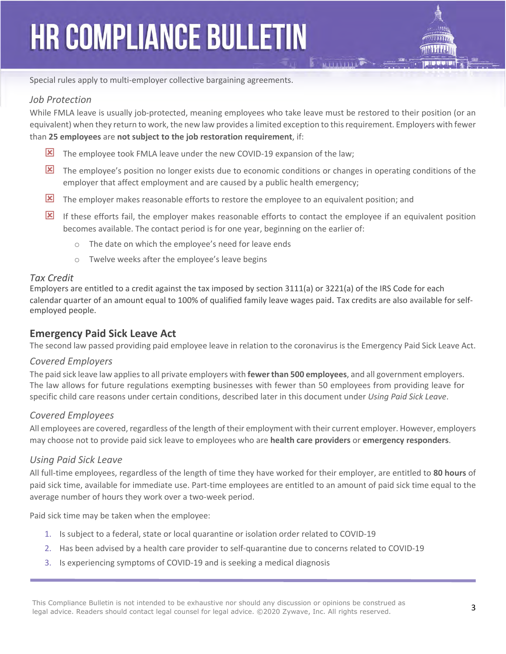

Special rules apply to multi-employer collective bargaining agreements.

#### *Job Protection*

While FMLA leave is usually job-protected, meaning employees who take leave must be restored to their position (or an equivalent) when they return to work, the new law provides a limited exception to this requirement. Employers with fewer than **25 employees** are **not subject to the job restoration requirement**, if:

- The employee took FMLA leave under the new COVID-19 expansion of the law;
- The employee's position no longer exists due to economic conditions or changes in operating conditions of the employer that affect employment and are caused by a public health emergency;
- The employer makes reasonable efforts to restore the employee to an equivalent position; and
- If these efforts fail, the employer makes reasonable efforts to contact the employee if an equivalent position becomes available. The contact period is for one year, beginning on the earlier of:
	- o The date on which the employee's need for leave ends
	- o Twelve weeks after the employee's leave begins

#### *Tax Credit*

Employers are entitled to a credit against the tax imposed by section 3111(a) or 3221(a) of the IRS Code for each calendar quarter of an amount equal to 100% of qualified family leave wages paid. Tax credits are also available for selfemployed people.

#### **Emergency Paid Sick Leave Act**

The second law passed providing paid employee leave in relation to the coronavirus is the Emergency Paid Sick Leave Act.

#### *Covered Employers*

The paid sick leave law applies to all private employers with **fewer than 500 employees**, and all government employers. The law allows for future regulations exempting businesses with fewer than 50 employees from providing leave for specific child care reasons under certain conditions, described later in this document under *Using Paid Sick Leave*.

#### *Covered Employees*

All employees are covered, regardless of the length of their employment with their current employer. However, employers may choose not to provide paid sick leave to employees who are **health care providers** or **emergency responders**.

#### *Using Paid Sick Leave*

All full-time employees, regardless of the length of time they have worked for their employer, are entitled to **80 hours** of paid sick time, available for immediate use. Part-time employees are entitled to an amount of paid sick time equal to the average number of hours they work over a two-week period.

Paid sick time may be taken when the employee:

- 1. Is subject to a federal, state or local quarantine or isolation order related to COVID-19
- 2. Has been advised by a health care provider to self-quarantine due to concerns related to COVID-19
- 3. Is experiencing symptoms of COVID-19 and is seeking a medical diagnosis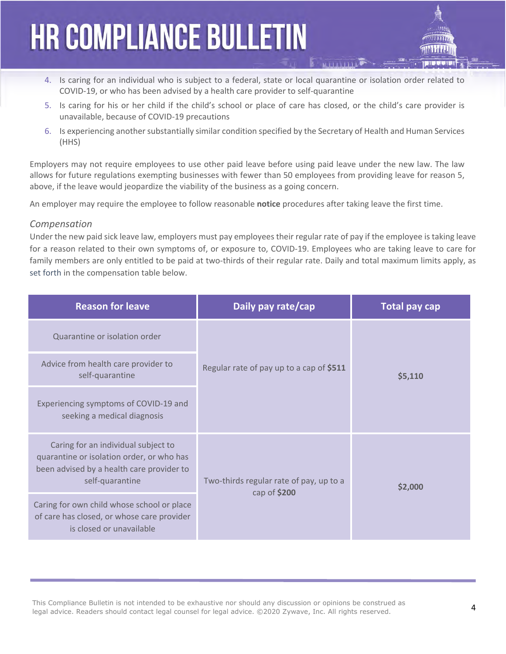- 4. Is caring for an individual who is subject to a federal, state or local quarantine or isolation order related to COVID-19, or who has been advised by a health care provider to self-quarantine
- 5. Is caring for his or her child if the child's school or place of care has closed, or the child's care provider is unavailable, because of COVID-19 precautions
- 6. Is experiencing another substantially similar condition specified by the Secretary of Health and Human Services (HHS)

Employers may not require employees to use other paid leave before using paid leave under the new law. The law allows for future regulations exempting businesses with fewer than 50 employees from providing leave for reason 5, above, if the leave would jeopardize the viability of the business as a going concern.

An employer may require the employee to follow reasonable **notice** procedures after taking leave the first time.

#### *Compensation*

Under the new paid sick leave law, employers must pay employees their regular rate of pay if the employee is taking leave for a reason related to their own symptoms of, or exposure to, COVID-19. Employees who are taking leave to care for family members are only entitled to be paid at two-thirds of their regular rate. Daily and total maximum limits apply, as set forth in the compensation table below.

| <b>Reason for leave</b>                                                                                                                          | Daily pay rate/cap                                      | <b>Total pay cap</b> |
|--------------------------------------------------------------------------------------------------------------------------------------------------|---------------------------------------------------------|----------------------|
| Quarantine or isolation order                                                                                                                    | Regular rate of pay up to a cap of \$511                | \$5,110              |
| Advice from health care provider to<br>self-quarantine                                                                                           |                                                         |                      |
| Experiencing symptoms of COVID-19 and<br>seeking a medical diagnosis                                                                             |                                                         |                      |
| Caring for an individual subject to<br>quarantine or isolation order, or who has<br>been advised by a health care provider to<br>self-quarantine | Two-thirds regular rate of pay, up to a<br>cap of \$200 | \$2,000              |
| Caring for own child whose school or place<br>of care has closed, or whose care provider<br>is closed or unavailable                             |                                                         |                      |

This Compliance Bulletin is not intended to be exhaustive nor should any discussion or opinions be construed as legal advice. Readers should contact legal counsel for legal advice. ©2020 Zywave, Inc. All rights reserved.